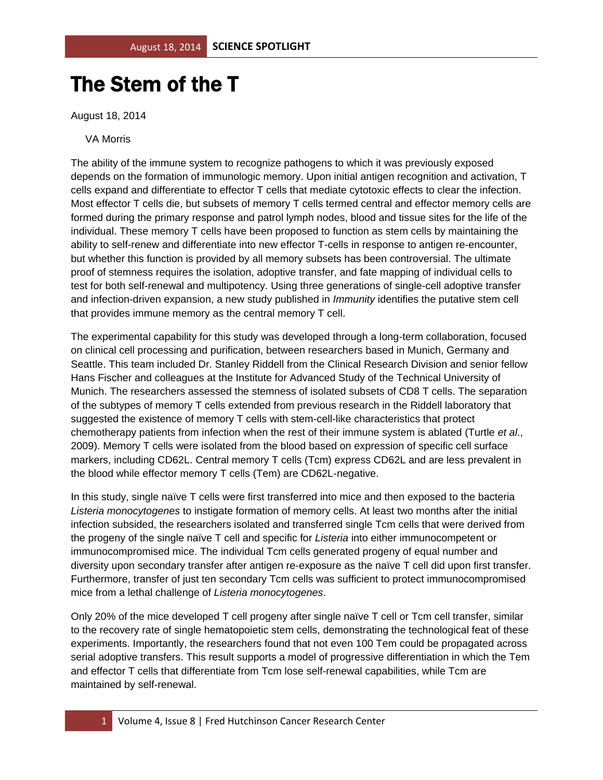## The Stem of the T

August 18, 2014

## VA Morris

The ability of the immune system to recognize pathogens to which it was previously exposed depends on the formation of immunologic memory. Upon initial antigen recognition and activation, T cells expand and differentiate to effector T cells that mediate cytotoxic effects to clear the infection. Most effector T cells die, but subsets of memory T cells termed central and effector memory cells are formed during the primary response and patrol lymph nodes, blood and tissue sites for the life of the individual. These memory T cells have been proposed to function as stem cells by maintaining the ability to self-renew and differentiate into new effector T-cells in response to antigen re-encounter, but whether this function is provided by all memory subsets has been controversial. The ultimate proof of stemness requires the isolation, adoptive transfer, and fate mapping of individual cells to test for both self-renewal and multipotency. Using three generations of single-cell adoptive transfer and infection-driven expansion, a new study published in *Immunity* identifies the putative stem cell that provides immune memory as the central memory T cell.

The experimental capability for this study was developed through a long-term collaboration, focused on clinical cell processing and purification, between researchers based in Munich, Germany and Seattle. This team included Dr. Stanley Riddell from the Clinical Research Division and senior fellow Hans Fischer and colleagues at the Institute for Advanced Study of the Technical University of Munich. The researchers assessed the stemness of isolated subsets of CD8 T cells. The separation of the subtypes of memory T cells extended from previous research in the Riddell laboratory that suggested the existence of memory T cells with stem-cell-like characteristics that protect chemotherapy patients from infection when the rest of their immune system is ablated (Turtle *et al*., 2009). Memory T cells were isolated from the blood based on expression of specific cell surface markers, including CD62L. Central memory T cells (Tcm) express CD62L and are less prevalent in the blood while effector memory T cells (Tem) are CD62L-negative.

In this study, single naïve T cells were first transferred into mice and then exposed to the bacteria *Listeria monocytogenes* to instigate formation of memory cells. At least two months after the initial infection subsided, the researchers isolated and transferred single Tcm cells that were derived from the progeny of the single naïve T cell and specific for *Listeria* into either immunocompetent or immunocompromised mice. The individual Tcm cells generated progeny of equal number and diversity upon secondary transfer after antigen re-exposure as the naïve T cell did upon first transfer. Furthermore, transfer of just ten secondary Tcm cells was sufficient to protect immunocompromised mice from a lethal challenge of *Listeria monocytogenes*.

Only 20% of the mice developed T cell progeny after single naïve T cell or Tcm cell transfer, similar to the recovery rate of single hematopoietic stem cells, demonstrating the technological feat of these experiments. Importantly, the researchers found that not even 100 Tem could be propagated across serial adoptive transfers. This result supports a model of progressive differentiation in which the Tem and effector T cells that differentiate from Tcm lose self-renewal capabilities, while Tcm are maintained by self-renewal.